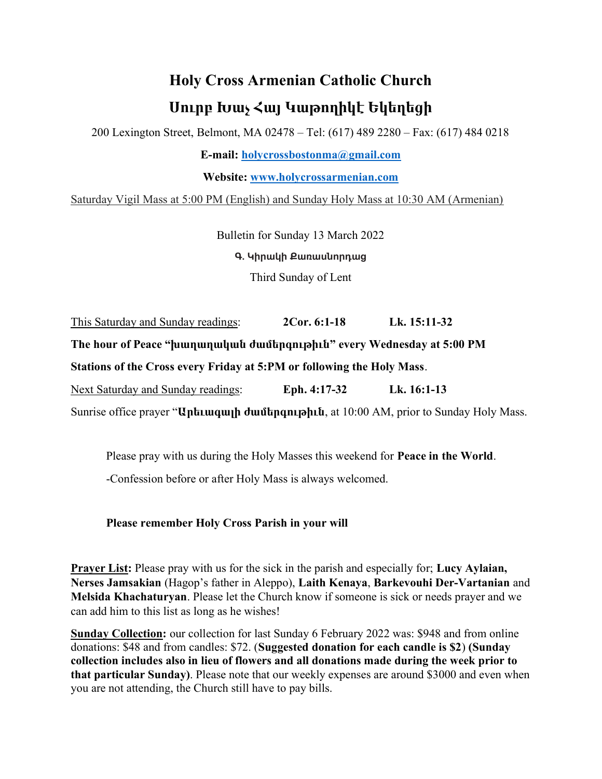## Holy Cross Armenian Catholic Church Սուրբ Խաչ Հայ Կաթողիկէ Եկեղեցի

200 Lexington Street, Belmont, MA 02478 – Tel: (617) 489 2280 – Fax: (617) 484 0218

E-mail: holycrossbostonma@gmail.com

Website: www.holycrossarmenian.com

Saturday Vigil Mass at 5:00 PM (English) and Sunday Holy Mass at 10:30 AM (Armenian)

Bulletin for Sunday 13 March 2022

Գ. Կիրակի Քառասնորդաց

Third Sunday of Lent

This Saturday and Sunday readings: 2Cor. 6:1-18 Lk. 15:11-32 The hour of Peace "խաղաղական ժամերգութիւն" every Wednesday at 5:00 PM Stations of the Cross every Friday at 5:PM or following the Holy Mass. Next Saturday and Sunday readings: Eph. 4:17-32 Lk. 16:1-13 Sunrise office prayer "Արեւագալի ժամերգութիւն, at 10:00 AM, prior to Sunday Holy Mass.

Please pray with us during the Holy Masses this weekend for Peace in the World.

-Confession before or after Holy Mass is always welcomed.

## Please remember Holy Cross Parish in your will

Prayer List: Please pray with us for the sick in the parish and especially for; Lucy Aylaian, Nerses Jamsakian (Hagop's father in Aleppo), Laith Kenaya, Barkevouhi Der-Vartanian and Melsida Khachaturyan. Please let the Church know if someone is sick or needs prayer and we can add him to this list as long as he wishes!

Sunday Collection: our collection for last Sunday 6 February 2022 was: \$948 and from online donations: \$48 and from candles: \$72. (Suggested donation for each candle is \$2) (Sunday collection includes also in lieu of flowers and all donations made during the week prior to that particular Sunday). Please note that our weekly expenses are around \$3000 and even when you are not attending, the Church still have to pay bills.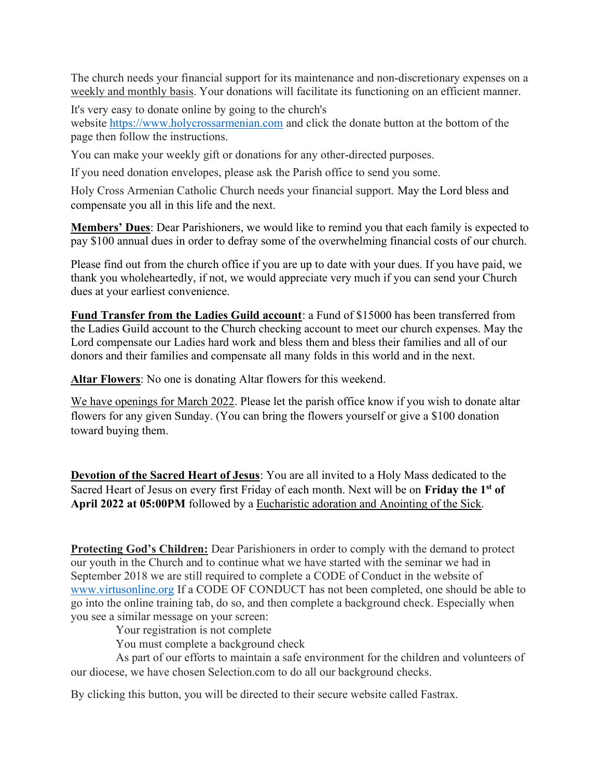The church needs your financial support for its maintenance and non-discretionary expenses on a weekly and monthly basis. Your donations will facilitate its functioning on an efficient manner.

It's very easy to donate online by going to the church's website https://www.holycrossarmenian.com and click the donate button at the bottom of the page then follow the instructions.

You can make your weekly gift or donations for any other-directed purposes.

If you need donation envelopes, please ask the Parish office to send you some.

Holy Cross Armenian Catholic Church needs your financial support. May the Lord bless and compensate you all in this life and the next.

Members' Dues: Dear Parishioners, we would like to remind you that each family is expected to pay \$100 annual dues in order to defray some of the overwhelming financial costs of our church.

Please find out from the church office if you are up to date with your dues. If you have paid, we thank you wholeheartedly, if not, we would appreciate very much if you can send your Church dues at your earliest convenience.

Fund Transfer from the Ladies Guild account: a Fund of \$15000 has been transferred from the Ladies Guild account to the Church checking account to meet our church expenses. May the Lord compensate our Ladies hard work and bless them and bless their families and all of our donors and their families and compensate all many folds in this world and in the next.

Altar Flowers: No one is donating Altar flowers for this weekend.

We have openings for March 2022. Please let the parish office know if you wish to donate altar flowers for any given Sunday. (You can bring the flowers yourself or give a \$100 donation toward buying them.

Devotion of the Sacred Heart of Jesus: You are all invited to a Holy Mass dedicated to the Sacred Heart of Jesus on every first Friday of each month. Next will be on Friday the 1<sup>st</sup> of April 2022 at 05:00PM followed by a Eucharistic adoration and Anointing of the Sick.

**Protecting God's Children:** Dear Parishioners in order to comply with the demand to protect our youth in the Church and to continue what we have started with the seminar we had in September 2018 we are still required to complete a CODE of Conduct in the website of www.virtusonline.org If a CODE OF CONDUCT has not been completed, one should be able to go into the online training tab, do so, and then complete a background check. Especially when you see a similar message on your screen:

Your registration is not complete

You must complete a background check

 As part of our efforts to maintain a safe environment for the children and volunteers of our diocese, we have chosen Selection.com to do all our background checks.

By clicking this button, you will be directed to their secure website called Fastrax.